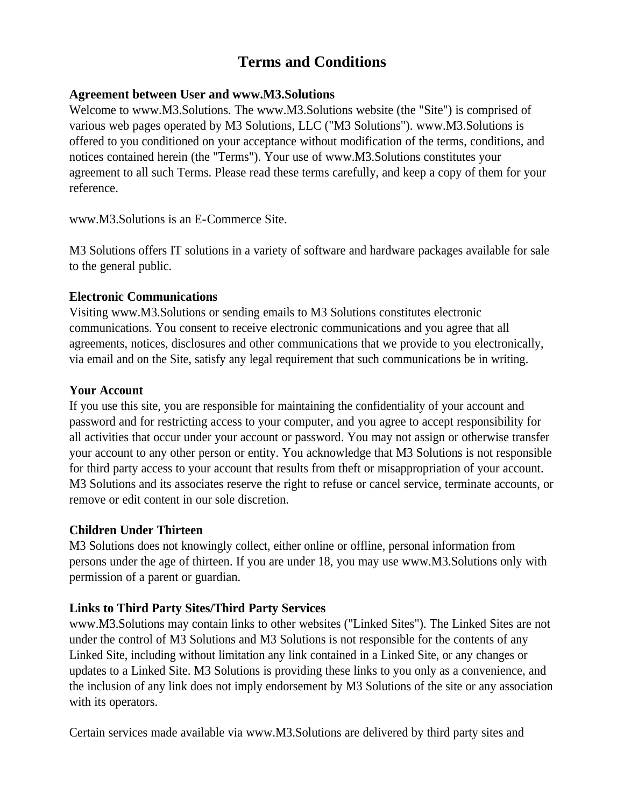# **Terms and Conditions**

#### **Agreement between User and www.M3.Solutions**

Welcome to www.M3.Solutions. The www.M3.Solutions website (the "Site") is comprised of various web pages operated by M3 Solutions, LLC ("M3 Solutions"). www.M3.Solutions is offered to you conditioned on your acceptance without modification of the terms, conditions, and notices contained herein (the "Terms"). Your use of www.M3.Solutions constitutes your agreement to all such Terms. Please read these terms carefully, and keep a copy of them for your reference.

www.M3.Solutions is an E-Commerce Site.

M3 Solutions offers IT solutions in a variety of software and hardware packages available for sale to the general public.

## **Electronic Communications**

Visiting www.M3.Solutions or sending emails to M3 Solutions constitutes electronic communications. You consent to receive electronic communications and you agree that all agreements, notices, disclosures and other communications that we provide to you electronically, via email and on the Site, satisfy any legal requirement that such communications be in writing.

#### **Your Account**

If you use this site, you are responsible for maintaining the confidentiality of your account and password and for restricting access to your computer, and you agree to accept responsibility for all activities that occur under your account or password. You may not assign or otherwise transfer your account to any other person or entity. You acknowledge that M3 Solutions is not responsible for third party access to your account that results from theft or misappropriation of your account. M3 Solutions and its associates reserve the right to refuse or cancel service, terminate accounts, or remove or edit content in our sole discretion.

## **Children Under Thirteen**

M3 Solutions does not knowingly collect, either online or offline, personal information from persons under the age of thirteen. If you are under 18, you may use www.M3.Solutions only with permission of a parent or guardian.

## **Links to Third Party Sites/Third Party Services**

www.M3.Solutions may contain links to other websites ("Linked Sites"). The Linked Sites are not under the control of M3 Solutions and M3 Solutions is not responsible for the contents of any Linked Site, including without limitation any link contained in a Linked Site, or any changes or updates to a Linked Site. M3 Solutions is providing these links to you only as a convenience, and the inclusion of any link does not imply endorsement by M3 Solutions of the site or any association with its operators.

Certain services made available via www.M3.Solutions are delivered by third party sites and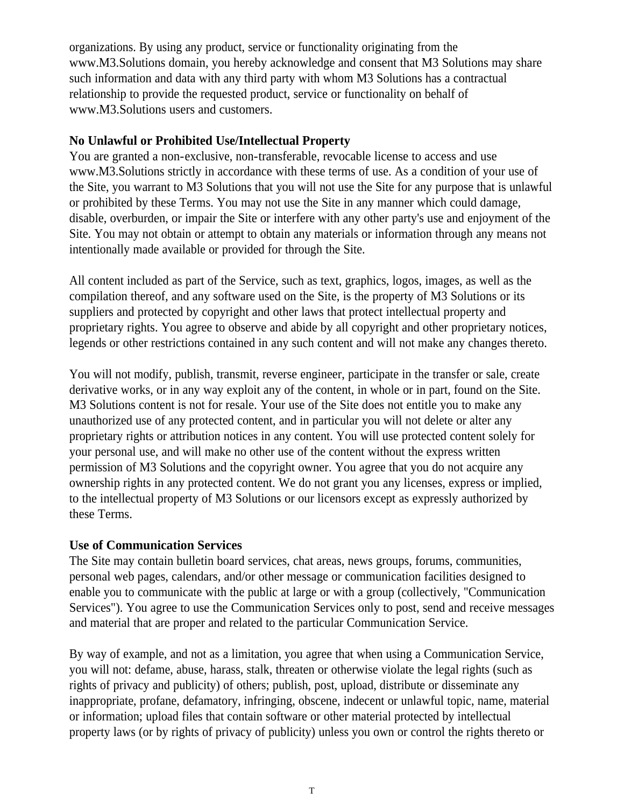organizations. By using any product, service or functionality originating from the www.M3.Solutions domain, you hereby acknowledge and consent that M3 Solutions may share such information and data with any third party with whom M3 Solutions has a contractual relationship to provide the requested product, service or functionality on behalf of www.M3.Solutions users and customers.

### **No Unlawful or Prohibited Use/Intellectual Property**

You are granted a non-exclusive, non-transferable, revocable license to access and use www.M3.Solutions strictly in accordance with these terms of use. As a condition of your use of the Site, you warrant to M3 Solutions that you will not use the Site for any purpose that is unlawful or prohibited by these Terms. You may not use the Site in any manner which could damage, disable, overburden, or impair the Site or interfere with any other party's use and enjoyment of the Site. You may not obtain or attempt to obtain any materials or information through any means not intentionally made available or provided for through the Site.

All content included as part of the Service, such as text, graphics, logos, images, as well as the compilation thereof, and any software used on the Site, is the property of M3 Solutions or its suppliers and protected by copyright and other laws that protect intellectual property and proprietary rights. You agree to observe and abide by all copyright and other proprietary notices, legends or other restrictions contained in any such content and will not make any changes thereto.

You will not modify, publish, transmit, reverse engineer, participate in the transfer or sale, create derivative works, or in any way exploit any of the content, in whole or in part, found on the Site. M3 Solutions content is not for resale. Your use of the Site does not entitle you to make any unauthorized use of any protected content, and in particular you will not delete or alter any proprietary rights or attribution notices in any content. You will use protected content solely for your personal use, and will make no other use of the content without the express written permission of M3 Solutions and the copyright owner. You agree that you do not acquire any ownership rights in any protected content. We do not grant you any licenses, express or implied, to the intellectual property of M3 Solutions or our licensors except as expressly authorized by these Terms.

## **Use of Communication Services**

The Site may contain bulletin board services, chat areas, news groups, forums, communities, personal web pages, calendars, and/or other message or communication facilities designed to enable you to communicate with the public at large or with a group (collectively, "Communication Services"). You agree to use the Communication Services only to post, send and receive messages and material that are proper and related to the particular Communication Service.

By way of example, and not as a limitation, you agree that when using a Communication Service, you will not: defame, abuse, harass, stalk, threaten or otherwise violate the legal rights (such as rights of privacy and publicity) of others; publish, post, upload, distribute or disseminate any inappropriate, profane, defamatory, infringing, obscene, indecent or unlawful topic, name, material or information; upload files that contain software or other material protected by intellectual property laws (or by rights of privacy of publicity) unless you own or control the rights thereto or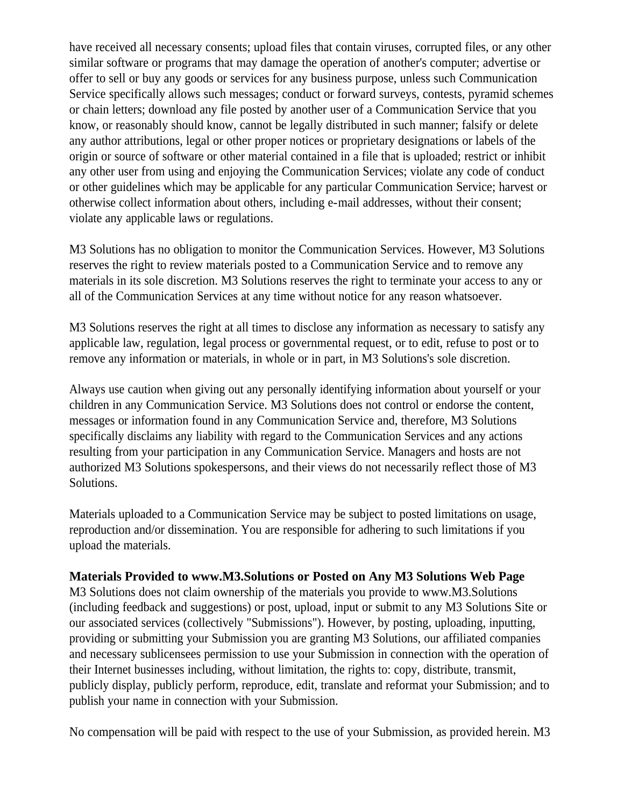have received all necessary consents; upload files that contain viruses, corrupted files, or any other similar software or programs that may damage the operation of another's computer; advertise or offer to sell or buy any goods or services for any business purpose, unless such Communication Service specifically allows such messages; conduct or forward surveys, contests, pyramid schemes or chain letters; download any file posted by another user of a Communication Service that you know, or reasonably should know, cannot be legally distributed in such manner; falsify or delete any author attributions, legal or other proper notices or proprietary designations or labels of the origin or source of software or other material contained in a file that is uploaded; restrict or inhibit any other user from using and enjoying the Communication Services; violate any code of conduct or other guidelines which may be applicable for any particular Communication Service; harvest or otherwise collect information about others, including e-mail addresses, without their consent; violate any applicable laws or regulations.

M3 Solutions has no obligation to monitor the Communication Services. However, M3 Solutions reserves the right to review materials posted to a Communication Service and to remove any materials in its sole discretion. M3 Solutions reserves the right to terminate your access to any or all of the Communication Services at any time without notice for any reason whatsoever.

M3 Solutions reserves the right at all times to disclose any information as necessary to satisfy any applicable law, regulation, legal process or governmental request, or to edit, refuse to post or to remove any information or materials, in whole or in part, in M3 Solutions's sole discretion.

Always use caution when giving out any personally identifying information about yourself or your children in any Communication Service. M3 Solutions does not control or endorse the content, messages or information found in any Communication Service and, therefore, M3 Solutions specifically disclaims any liability with regard to the Communication Services and any actions resulting from your participation in any Communication Service. Managers and hosts are not authorized M3 Solutions spokespersons, and their views do not necessarily reflect those of M3 Solutions.

Materials uploaded to a Communication Service may be subject to posted limitations on usage, reproduction and/or dissemination. You are responsible for adhering to such limitations if you upload the materials.

#### **Materials Provided to www.M3.Solutions or Posted on Any M3 Solutions Web Page**

M3 Solutions does not claim ownership of the materials you provide to www.M3.Solutions (including feedback and suggestions) or post, upload, input or submit to any M3 Solutions Site or our associated services (collectively "Submissions"). However, by posting, uploading, inputting, providing or submitting your Submission you are granting M3 Solutions, our affiliated companies and necessary sublicensees permission to use your Submission in connection with the operation of their Internet businesses including, without limitation, the rights to: copy, distribute, transmit, publicly display, publicly perform, reproduce, edit, translate and reformat your Submission; and to publish your name in connection with your Submission.

No compensation will be paid with respect to the use of your Submission, as provided herein. M3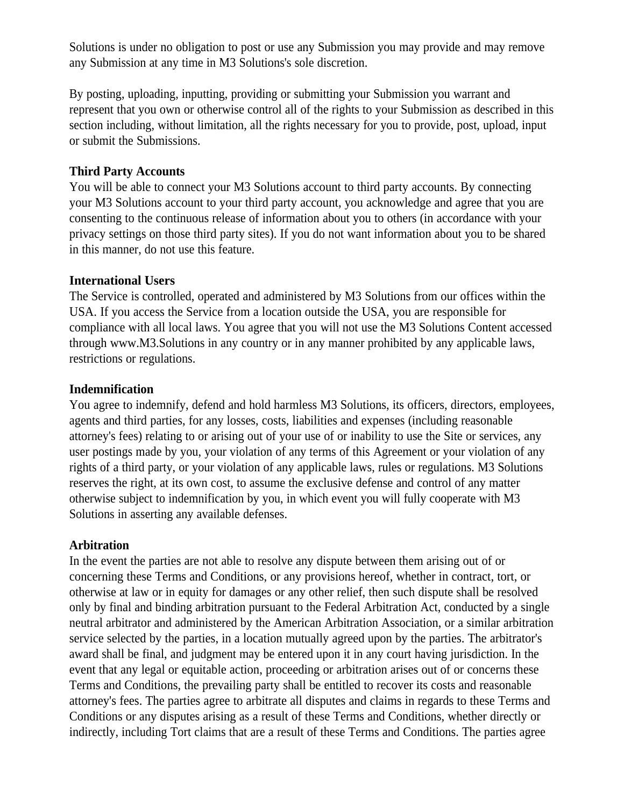Solutions is under no obligation to post or use any Submission you may provide and may remove any Submission at any time in M3 Solutions's sole discretion.

By posting, uploading, inputting, providing or submitting your Submission you warrant and represent that you own or otherwise control all of the rights to your Submission as described in this section including, without limitation, all the rights necessary for you to provide, post, upload, input or submit the Submissions.

#### **Third Party Accounts**

You will be able to connect your M3 Solutions account to third party accounts. By connecting your M3 Solutions account to your third party account, you acknowledge and agree that you are consenting to the continuous release of information about you to others (in accordance with your privacy settings on those third party sites). If you do not want information about you to be shared in this manner, do not use this feature.

#### **International Users**

The Service is controlled, operated and administered by M3 Solutions from our offices within the USA. If you access the Service from a location outside the USA, you are responsible for compliance with all local laws. You agree that you will not use the M3 Solutions Content accessed through www.M3.Solutions in any country or in any manner prohibited by any applicable laws, restrictions or regulations.

#### **Indemnification**

You agree to indemnify, defend and hold harmless M3 Solutions, its officers, directors, employees, agents and third parties, for any losses, costs, liabilities and expenses (including reasonable attorney's fees) relating to or arising out of your use of or inability to use the Site or services, any user postings made by you, your violation of any terms of this Agreement or your violation of any rights of a third party, or your violation of any applicable laws, rules or regulations. M3 Solutions reserves the right, at its own cost, to assume the exclusive defense and control of any matter otherwise subject to indemnification by you, in which event you will fully cooperate with M3 Solutions in asserting any available defenses.

## **Arbitration**

In the event the parties are not able to resolve any dispute between them arising out of or concerning these Terms and Conditions, or any provisions hereof, whether in contract, tort, or otherwise at law or in equity for damages or any other relief, then such dispute shall be resolved only by final and binding arbitration pursuant to the Federal Arbitration Act, conducted by a single neutral arbitrator and administered by the American Arbitration Association, or a similar arbitration service selected by the parties, in a location mutually agreed upon by the parties. The arbitrator's award shall be final, and judgment may be entered upon it in any court having jurisdiction. In the event that any legal or equitable action, proceeding or arbitration arises out of or concerns these Terms and Conditions, the prevailing party shall be entitled to recover its costs and reasonable attorney's fees. The parties agree to arbitrate all disputes and claims in regards to these Terms and Conditions or any disputes arising as a result of these Terms and Conditions, whether directly or indirectly, including Tort claims that are a result of these Terms and Conditions. The parties agree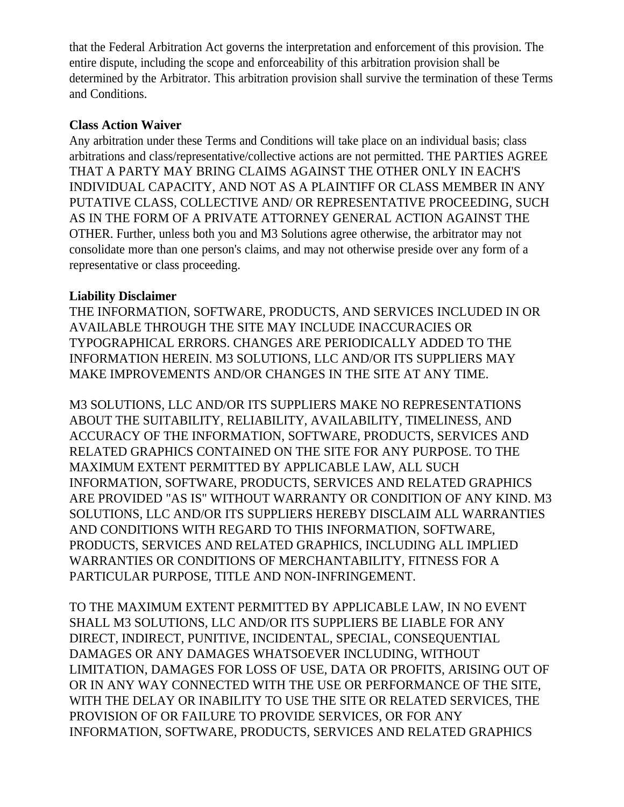that the Federal Arbitration Act governs the interpretation and enforcement of this provision. The entire dispute, including the scope and enforceability of this arbitration provision shall be determined by the Arbitrator. This arbitration provision shall survive the termination of these Terms and Conditions.

## **Class Action Waiver**

Any arbitration under these Terms and Conditions will take place on an individual basis; class arbitrations and class/representative/collective actions are not permitted. THE PARTIES AGREE THAT A PARTY MAY BRING CLAIMS AGAINST THE OTHER ONLY IN EACH'S INDIVIDUAL CAPACITY, AND NOT AS A PLAINTIFF OR CLASS MEMBER IN ANY PUTATIVE CLASS, COLLECTIVE AND/ OR REPRESENTATIVE PROCEEDING, SUCH AS IN THE FORM OF A PRIVATE ATTORNEY GENERAL ACTION AGAINST THE OTHER. Further, unless both you and M3 Solutions agree otherwise, the arbitrator may not consolidate more than one person's claims, and may not otherwise preside over any form of a representative or class proceeding.

#### **Liability Disclaimer**

THE INFORMATION, SOFTWARE, PRODUCTS, AND SERVICES INCLUDED IN OR AVAILABLE THROUGH THE SITE MAY INCLUDE INACCURACIES OR TYPOGRAPHICAL ERRORS. CHANGES ARE PERIODICALLY ADDED TO THE INFORMATION HEREIN. M3 SOLUTIONS, LLC AND/OR ITS SUPPLIERS MAY MAKE IMPROVEMENTS AND/OR CHANGES IN THE SITE AT ANY TIME.

M3 SOLUTIONS, LLC AND/OR ITS SUPPLIERS MAKE NO REPRESENTATIONS ABOUT THE SUITABILITY, RELIABILITY, AVAILABILITY, TIMELINESS, AND ACCURACY OF THE INFORMATION, SOFTWARE, PRODUCTS, SERVICES AND RELATED GRAPHICS CONTAINED ON THE SITE FOR ANY PURPOSE. TO THE MAXIMUM EXTENT PERMITTED BY APPLICABLE LAW, ALL SUCH INFORMATION, SOFTWARE, PRODUCTS, SERVICES AND RELATED GRAPHICS ARE PROVIDED "AS IS" WITHOUT WARRANTY OR CONDITION OF ANY KIND. M3 SOLUTIONS, LLC AND/OR ITS SUPPLIERS HEREBY DISCLAIM ALL WARRANTIES AND CONDITIONS WITH REGARD TO THIS INFORMATION, SOFTWARE, PRODUCTS, SERVICES AND RELATED GRAPHICS, INCLUDING ALL IMPLIED WARRANTIES OR CONDITIONS OF MERCHANTABILITY, FITNESS FOR A PARTICULAR PURPOSE, TITLE AND NON-INFRINGEMENT.

TO THE MAXIMUM EXTENT PERMITTED BY APPLICABLE LAW, IN NO EVENT SHALL M3 SOLUTIONS, LLC AND/OR ITS SUPPLIERS BE LIABLE FOR ANY DIRECT, INDIRECT, PUNITIVE, INCIDENTAL, SPECIAL, CONSEQUENTIAL DAMAGES OR ANY DAMAGES WHATSOEVER INCLUDING, WITHOUT LIMITATION, DAMAGES FOR LOSS OF USE, DATA OR PROFITS, ARISING OUT OF OR IN ANY WAY CONNECTED WITH THE USE OR PERFORMANCE OF THE SITE, WITH THE DELAY OR INABILITY TO USE THE SITE OR RELATED SERVICES, THE PROVISION OF OR FAILURE TO PROVIDE SERVICES, OR FOR ANY INFORMATION, SOFTWARE, PRODUCTS, SERVICES AND RELATED GRAPHICS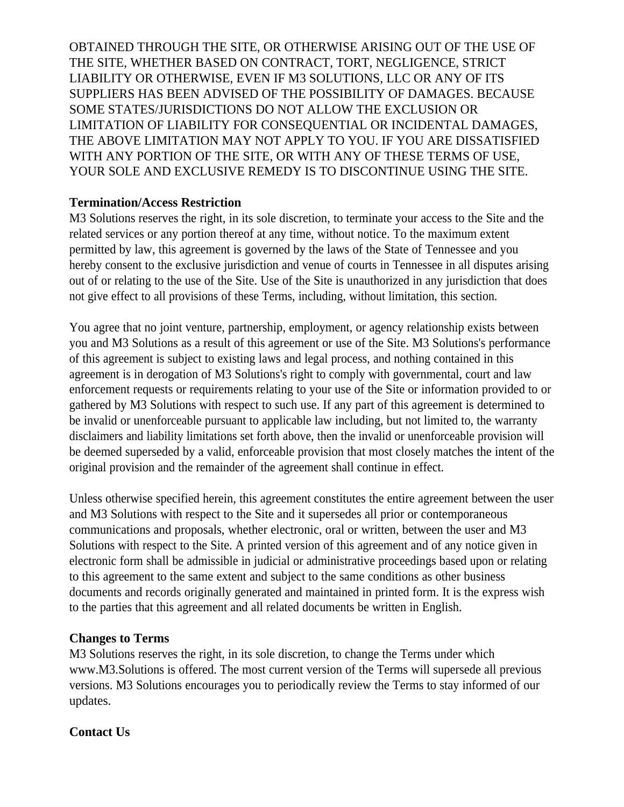OBTAINED THROUGH THE SITE, OR OTHERWISE ARISING OUT OF THE USE OF THE SITE, WHETHER BASED ON CONTRACT, TORT, NEGLIGENCE, STRICT LIABILITY OR OTHERWISE, EVEN IF M3 SOLUTIONS, LLC OR ANY OF ITS SUPPLIERS HAS BEEN ADVISED OF THE POSSIBILITY OF DAMAGES. BECAUSE SOME STATES/JURISDICTIONS DO NOT ALLOW THE EXCLUSION OR LIMITATION OF LIABILITY FOR CONSEQUENTIAL OR INCIDENTAL DAMAGES, THE ABOVE LIMITATION MAY NOT APPLY TO YOU. IF YOU ARE DISSATISFIED WITH ANY PORTION OF THE SITE, OR WITH ANY OF THESE TERMS OF USE, YOUR SOLE AND EXCLUSIVE REMEDY IS TO DISCONTINUE USING THE SITE.

## **Termination/Access Restriction**

M3 Solutions reserves the right, in its sole discretion, to terminate your access to the Site and the related services or any portion thereof at any time, without notice. To the maximum extent permitted by law, this agreement is governed by the laws of the State of Tennessee and you hereby consent to the exclusive jurisdiction and venue of courts in Tennessee in all disputes arising out of or relating to the use of the Site. Use of the Site is unauthorized in any jurisdiction that does not give effect to all provisions of these Terms, including, without limitation, this section.

You agree that no joint venture, partnership, employment, or agency relationship exists between you and M3 Solutions as a result of this agreement or use of the Site. M3 Solutions's performance of this agreement is subject to existing laws and legal process, and nothing contained in this agreement is in derogation of M3 Solutions's right to comply with governmental, court and law enforcement requests or requirements relating to your use of the Site or information provided to or gathered by M3 Solutions with respect to such use. If any part of this agreement is determined to be invalid or unenforceable pursuant to applicable law including, but not limited to, the warranty disclaimers and liability limitations set forth above, then the invalid or unenforceable provision will be deemed superseded by a valid, enforceable provision that most closely matches the intent of the original provision and the remainder of the agreement shall continue in effect.

Unless otherwise specified herein, this agreement constitutes the entire agreement between the user and M3 Solutions with respect to the Site and it supersedes all prior or contemporaneous communications and proposals, whether electronic, oral or written, between the user and M3 Solutions with respect to the Site. A printed version of this agreement and of any notice given in electronic form shall be admissible in judicial or administrative proceedings based upon or relating to this agreement to the same extent and subject to the same conditions as other business documents and records originally generated and maintained in printed form. It is the express wish to the parties that this agreement and all related documents be written in English.

## **Changes to Terms**

M3 Solutions reserves the right, in its sole discretion, to change the Terms under which www.M3.Solutions is offered. The most current version of the Terms will supersede all previous versions. M3 Solutions encourages you to periodically review the Terms to stay informed of our updates.

## **Contact Us**